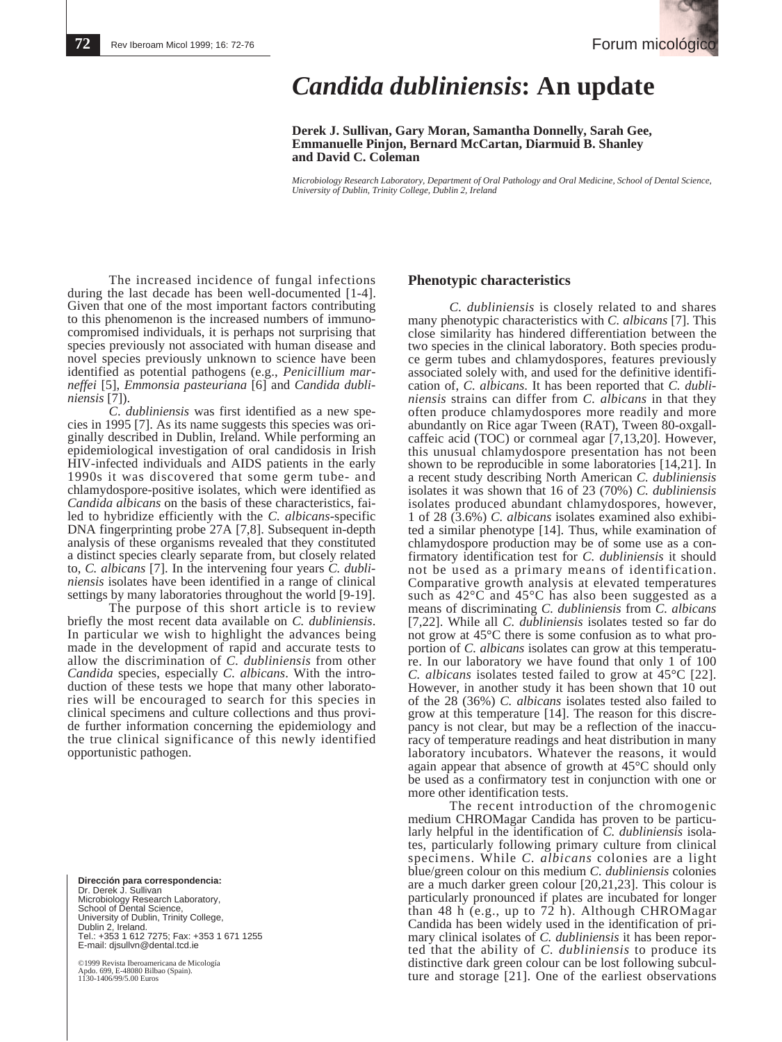# *Candida dubliniensis***: An update**

**Derek J. Sullivan, Gary Moran, Samantha Donnelly, Sarah Gee, Emmanuelle Pinjon, Bernard McCartan, Diarmuid B. Shanley and David C. Coleman**

*Microbiology Research Laboratory, Department of Oral Pathology and Oral Medicine, School of Dental Science, University of Dublin, Trinity College, Dublin 2, Ireland*

The increased incidence of fungal infections during the last decade has been well-documented [1-4]. Given that one of the most important factors contributing to this phenomenon is the increased numbers of immunocompromised individuals, it is perhaps not surprising that species previously not associated with human disease and novel species previously unknown to science have been identified as potential pathogens (e.g., *Penicillium marneffei* [5], *Emmonsia pasteuriana* [6] and *Candida dubliniensis* [7]).

*C*. *dubliniensis* was first identified as a new species in 1995 [7]. As its name suggests this species was originally described in Dublin, Ireland. While performing an epidemiological investigation of oral candidosis in Irish HIV-infected individuals and AIDS patients in the early 1990s it was discovered that some germ tube- and chlamydospore-positive isolates, which were identified as *Candida albicans* on the basis of these characteristics, failed to hybridize efficiently with the *C. albicans*-specific DNA fingerprinting probe 27A [7,8]. Subsequent in-depth analysis of these organisms revealed that they constituted a distinct species clearly separate from, but closely related to, *C. albicans* [7]. In the intervening four years *C. dubliniensis* isolates have been identified in a range of clinical settings by many laboratories throughout the world [9-19].

The purpose of this short article is to review<br>briefly the most recent data available on *C. dubliniensis*. In particular we wish to highlight the advances being. made in the development of rapid and accurate tests to allow the discrimination of *C. dubliniensis* from other *Candida* species, especially *C. albicans*. With the introduction of these tests we hope that many other laboratories will be encouraged to search for this species in clinical specimens and culture collections and thus provide further information concerning the epidemiology and the true clinical significance of this newly identified opportunistic pathogen.

**Dirección para correspondencia:**  Dr. Derek J. Sullivan Microbiology Research Laboratory, School of Dental Science, University of Dublin, Trinity College, Dublin 2, Ireland. Tel.: +353 1 612 7275; Fax: +353 1 671 1255 E-mail: djsullvn@dental.tcd.ie

©1999 Revista Iberoamericana de Micología Apdo. 699, E-48080 Bilbao (Spain). Apdo. 099, L-40000 L.L.<br>1130-1406/99/5.00 Euros

# **Phenotypic characteristics**

*C. dubliniensis* is closely related to and shares many phenotypic characteristics with *C. albicans* [7]. This close similarity has hindered differentiation between the two species in the clinical laboratory. Both species produce germ tubes and chlamydospores, features previously associated solely with, and used for the definitive identification of, *C. albicans*. It has been reported that *C. dubliniensis* strains can differ from *C. albicans* in that they often produce chlamydospores more readily and more abundantly on Rice agar Tween (RAT), Tween 80-oxgallcaffeic acid (TOC) or cornmeal agar [7,13,20]. However, this unusual chlamydospore presentation has not been shown to be reproducible in some laboratories [14,21]. In a recent study describing North American *C. dubliniensis* isolates it was shown that 16 of 23 (70%) *C. dubliniensis* isolates produced abundant chlamydospores, however, 1 of 28 (3.6%) *C. albicans* isolates examined also exhibited a similar phenotype [14]. Thus, while examination of chlamydospore production may be of some use as a confirmatory identification test for *C. dubliniensis* it should not be used as a primary means of identification. Comparative growth analysis at elevated temperatures such as  $42^{\circ}$ C and  $45^{\circ}$ C has also been suggested as a means of discriminating *C. dubliniensis* from *C. albicans* [7,22]. While all *C. dubliniensis* isolates tested so far do not grow at 45°C there is some confusion as to what proportion of *C. albicans* isolates can grow at this temperature. In our laboratory we have found that only 1 of 100 *C. albicans* isolates tested failed to grow at 45°C [22]. However, in another study it has been shown that 10 out of the 28 (36%) *C. albicans* isolates tested also failed to grow at this temperature [14]. The reason for this discrepancy is not clear, but may be a reflection of the inaccuracy of temperature readings and heat distribution in many laboratory incubators. Whatever the reasons, it would again appear that absence of growth at 45°C should only be used as a confirmatory test in conjunction with one or more other identification tests.

The recent introduction of the chromogenic medium CHROMagar Candida has proven to be particularly helpful in the identification of *C. dubliniensis* isolates, particularly following primary culture from clinical specimens. While *C. albicans* colonies are a light blue/green colour on this medium *C. dubliniensis* colonies are a much darker green colour [20,21,23]. This colour is particularly pronounced if plates are incubated for longer than 48 h (e.g., up to 72 h). Although CHROMagar Candida has been widely used in the identification of primary clinical isolates of *C. dubliniensis* it has been reported that the ability of *C. dubliniensis* to produce its distinctive dark green colour can be lost following subculture and storage [21]. One of the earliest observations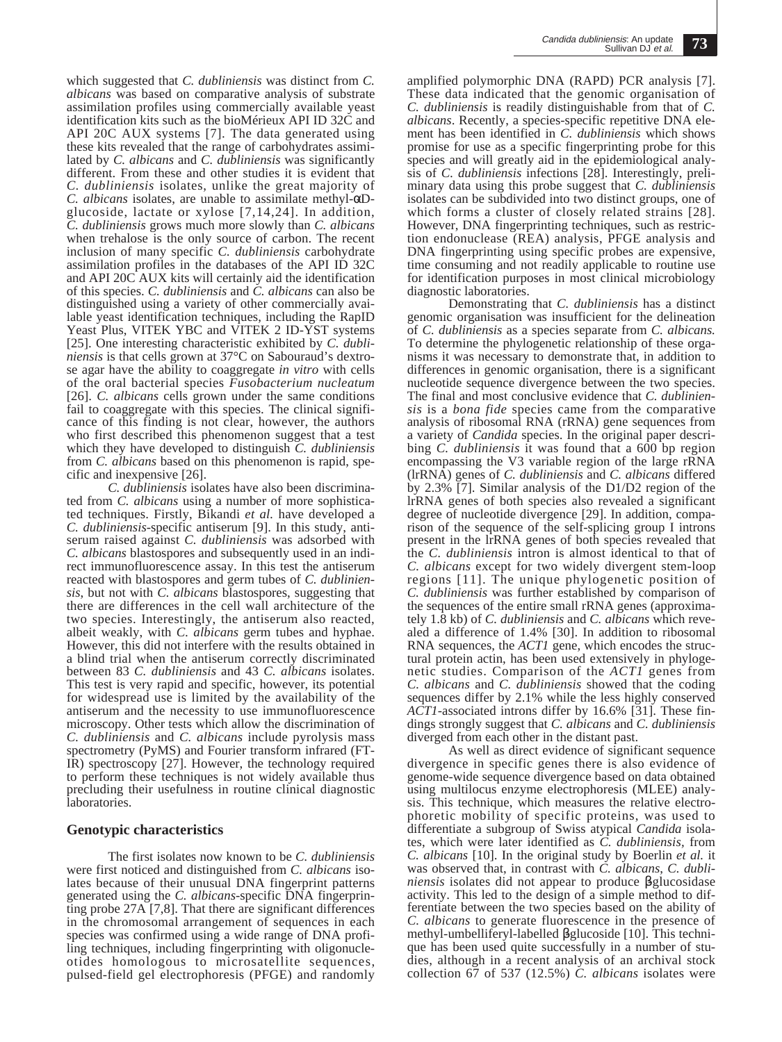which suggested that *C. dubliniensis* was distinct from *C. albicans* was based on comparative analysis of substrate assimilation profiles using commercially available yeast identification kits such as the bioMérieux API ID 32C and API 20C AUX systems [7]. The data generated using these kits revealed that the range of carbohydrates assimilated by *C. albicans* and *C. dubliniensis* was significantly different. From these and other studies it is evident that *C. dubliniensis* isolates, unlike the great majority of *C. albicans* isolates, are unable to assimilate methyl-αDglucoside, lactate or xylose [7,14,24]. In addition, *C. dubliniensis* grows much more slowly than *C. albicans* when trehalose is the only source of carbon. The recent inclusion of many specific *C. dubliniensis* carbohydrate assimilation profiles in the databases of the API ID 32C and API 20C AUX kits will certainly aid the identification of this species. *C. dubliniensis* and *C. albicans* can also be distinguished using a variety of other commercially available yeast identification techniques, including the RapID Yeast Plus, VITEK YBC and VITEK 2 ID-YST systems [25]. One interesting characteristic exhibited by *C. dubliniensis* is that cells grown at 37°C on Sabouraud's dextrose agar have the ability to coaggregate *in vitro* with cells of the oral bacterial species *Fusobacterium nucleatum* [26]. *C. albicans* cells grown under the same conditions fail to coaggregate with this species. The clinical significance of this finding is not clear, however, the authors who first described this phenomenon suggest that a test which they have developed to distinguish *C. dubliniensis* from *C. albicans* based on this phenomenon is rapid, specific and inexpensive [26].

*C. dubliniensis* isolates have also been discriminated from *C. albicans* using a number of more sophisticated techniques. Firstly, Bikandi *et al.* have developed a *C. dubliniensis*-specific antiserum [9]. In this study, antiserum raised against *C. dubliniensis* was adsorbed with *C. albicans* blastospores and subsequently used in an indirect immunofluorescence assay. In this test the antiserum reacted with blastospores and germ tubes of *C. dubliniensis*, but not with *C. albicans* blastospores, suggesting that there are differences in the cell wall architecture of the two species. Interestingly, the antiserum also reacted, albeit weakly, with *C. albicans* germ tubes and hyphae. However, this did not interfere with the results obtained in a blind trial when the antiserum correctly discriminated between 83 *C. dubliniensis* and 43 *C. albicans* isolates. This test is very rapid and specific, however, its potential for widespread use is limited by the availability of the antiserum and the necessity to use immunofluorescence microscopy. Other tests which allow the discrimination of *C. dubliniensis* and *C. albicans* include pyrolysis mass spectrometry (PyMS) and Fourier transform infrared (FT-IR) spectroscopy [27]. However, the technology required to perform these techniques is not widely available thus precluding their usefulness in routine clinical diagnostic laboratories.

# **Genotypic characteristics**

The first isolates now known to be *C. dubliniensis* were first noticed and distinguished from *C. albicans* isolates because of their unusual DNA fingerprint patterns generated using the *C. albicans*-specific DNA fingerprinting probe 27A [7,8]. That there are significant differences in the chromosomal arrangement of sequences in each species was confirmed using a wide range of DNA profiling techniques, including fingerprinting with oligonucleotides homologous to microsatellite sequences, pulsed-field gel electrophoresis (PFGE) and randomly

amplified polymorphic DNA (RAPD) PCR analysis [7]. These data indicated that the genomic organisation of *C. dubliniensis* is readily distinguishable from that of *C. albicans*. Recently, a species-specific repetitive DNA element has been identified in *C. dubliniensis* which shows promise for use as a specific fingerprinting probe for this species and will greatly aid in the epidemiological analysis of *C. dubliniensis* infections [28]. Interestingly, preliminary data using this probe suggest that *C. dubliniensis* isolates can be subdivided into two distinct groups, one of which forms a cluster of closely related strains [28]. However, DNA fingerprinting techniques, such as restriction endonuclease (REA) analysis, PFGE analysis and DNA fingerprinting using specific probes are expensive, time consuming and not readily applicable to routine use for identification purposes in most clinical microbiology diagnostic laboratories.

Demonstrating that *C. dubliniensis* has a distinct genomic organisation was insufficient for the delineation of *C. dubliniensis* as a species separate from *C. albicans.* To determine the phylogenetic relationship of these organisms it was necessary to demonstrate that, in addition to differences in genomic organisation, there is a significant nucleotide sequence divergence between the two species. The final and most conclusive evidence that *C. dubliniensis* is a *bona fide* species came from the comparative analysis of ribosomal RNA (rRNA) gene sequences from a variety of *Candida* species. In the original paper describing *C*. dubliniensis it was found that a 600 bp region encompassing the V3 variable region of the large rRNA (lrRNA) genes of *C. dubliniensis* and *C. albicans* differed by 2.3% [7]. Similar analysis of the D1/D2 region of the lrRNA genes of both species also revealed a significant degree of nucleotide divergence [29]. In addition, comparison of the sequence of the self-splicing group I introns present in the lrRNA genes of both species revealed that the *C. dubliniensis* intron is almost identical to that of *C. albicans* except for two widely divergent stem-loop regions [11]. The unique phylogenetic position of *C. dubliniensis* was further established by comparison of the sequences of the entire small rRNA genes (approximately 1.8 kb) of *C. dubliniensis* and *C. albicans* which revealed a difference of 1.4% [30]. In addition to ribosomal RNA sequences, the *ACT1* gene, which encodes the structural protein actin, has been used extensively in phylogenetic studies. Comparison of the *ACT1* genes from *C. albicans* and *C. dubliniensis* showed that the coding sequences differ by 2.1% while the less highly conserved *ACT1*-associated introns differ by 16.6% [31]. These findings strongly suggest that *C. albicans* and *C. dubliniensis* diverged from each other in the distant past.

As well as direct evidence of significant sequence divergence in specific genes there is also evidence of genome-wide sequence divergence based on data obtained using multilocus enzyme electrophoresis (MLEE) analysis. This technique, which measures the relative electrophoretic mobility of specific proteins, was used to differentiate a subgroup of Swiss atypical *Candida* isolates, which were later identified as *C. dubliniensis,* from *C. albicans* [10]. In the original study by Boerlin *et al.* it was observed that, in contrast with *C. albicans*, *C. dubliniensis* isolates did not appear to produce βglucosidase activity. This led to the design of a simple method to differentiate between the two species based on the ability of *C. albicans* to generate fluorescence in the presence of methyl-umbelliferyl-labelled βglucoside [10]. This technique has been used quite successfully in a number of studies, although in a recent analysis of an archival stock collection 67 of 537 (12.5%) *C. albicans* isolates were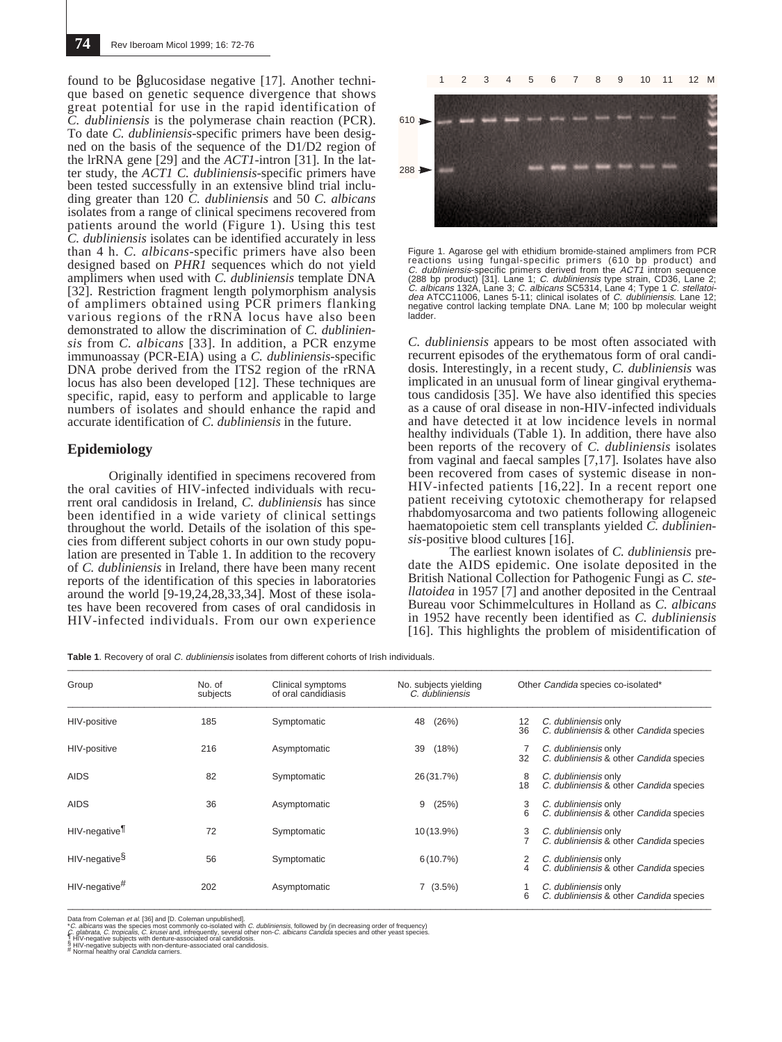found to be βglucosidase negative [17]. Another technique based on genetic sequence divergence that shows great potential for use in the rapid identification of *C. dubliniensis* is the polymerase chain reaction (PCR). To date *C. dubliniensis*-specific primers have been designed on the basis of the sequence of the D1/D2 region of the lrRNA gene [29] and the *ACT1*-intron [31]. In the latter study, the *ACT1 C. dubliniensis*-specific primers have been tested successfully in an extensive blind trial including greater than 120 *C. dubliniensis* and 50 *C. albicans* isolates from a range of clinical specimens recovered from patients around the world (Figure 1). Using this test *C. dubliniensis* isolates can be identified accurately in less than 4 h. *C. albicans*-specific primers have also been designed based on *PHR1* sequences which do not yield amplimers when used with *C. dubliniensis* template DNA [32]. Restriction fragment length polymorphism analysis of amplimers obtained using PCR primers flanking various regions of the rRNA locus have also been demonstrated to allow the discrimination of *C. dubliniensis* from *C. albicans* [33]. In addition, a PCR enzyme immunoassay (PCR-EIA) using a *C. dubliniensis*-specific DNA probe derived from the ITS2 region of the rRNA locus has also been developed [12]. These techniques are specific, rapid, easy to perform and applicable to large numbers of isolates and should enhance the rapid and accurate identification of *C. dubliniensis* in the future.

#### **Epidemiology**

Originally identified in specimens recovered from the oral cavities of HIV-infected individuals with recurrent oral candidosis in Ireland, *C. dubliniensis* has since been identified in a wide variety of clinical settings throughout the world. Details of the isolation of this species from different subject cohorts in our own study population are presented in Table 1. In addition to the recovery of *C. dubliniensis* in Ireland, there have been many recent reports of the identification of this species in laboratories around the world [9-19,24,28,33,34]. Most of these isolates have been recovered from cases of oral candidosis in HIV-infected individuals. From our own experience



Figure 1. Agarose gel with ethidium bromide-stained amplimers from PCR<br>reactions using fungal-specific primers (610 bp product) and<br>C. dubliniensis-specific primers derived from the ACT1 intron sequence<br>(288 bp product) [3 negative control lacking template DNA. Lane M; 100 bp molecular weight ladder.

*C. dubliniensis* appears to be most often associated with recurrent episodes of the erythematous form of oral candidosis. Interestingly, in a recent study, *C. dubliniensis* was implicated in an unusual form of linear gingival erythematous candidosis [35]. We have also identified this species as a cause of oral disease in non-HIV-infected individuals and have detected it at low incidence levels in normal healthy individuals (Table 1). In addition, there have also been reports of the recovery of *C. dubliniensis* isolates from vaginal and faecal samples [7,17]. Isolates have also been recovered from cases of systemic disease in non-HIV-infected patients [16,22]. In a recent report one patient receiving cytotoxic chemotherapy for relapsed rhabdomyosarcoma and two patients following allogeneic haematopoietic stem cell transplants yielded *C. dubliniensis*-positive blood cultures [16].

The earliest known isolates of *C. dubliniensis* predate the AIDS epidemic. One isolate deposited in the British National Collection for Pathogenic Fungi as *C. stellatoidea* in 1957 [7] and another deposited in the Centraal Bureau voor Schimmelcultures in Holland as *C. albicans* in 1952 have recently been identified as *C. dubliniensis* [16]. This highlights the problem of misidentification of

Table 1. Recovery of oral C. dubliniensis isolates from different cohorts of Irish individuals.

| Group                        | No. of<br>subjects | Clinical symptoms<br>of oral candidiasis | No. subjects yielding<br>C. dubliniensis | Other Candida species co-isolated*                                                     |
|------------------------------|--------------------|------------------------------------------|------------------------------------------|----------------------------------------------------------------------------------------|
| HIV-positive                 | 185                | Symptomatic                              | (26%)<br>48                              | C. dubliniensis only<br>12<br>C. dubliniensis & other Candida species<br>36            |
| HIV-positive                 | 216                | Asymptomatic                             | (18%)<br>39                              | C. dubliniensis only<br>C. dubliniensis & other Candida species<br>32                  |
| <b>AIDS</b>                  | 82                 | Symptomatic                              | 26 (31.7%)                               | 8<br>C. dubliniensis only<br>18<br>C. dubliniensis & other Candida species             |
| <b>AIDS</b>                  | 36                 | Asymptomatic                             | 9<br>(25%)                               | 3<br>C. dubliniensis only<br>6<br>C. dubliniensis & other Candida species              |
| HIV-negative <sup>1</sup>    | 72                 | Symptomatic                              | 10 (13.9%)                               | C. dubliniensis only<br>3<br>C. dubliniensis & other Candida species                   |
| HIV-negative <sup>§</sup>    | 56                 | Symptomatic                              | 6(10.7%)                                 | C. dubliniensis only<br>2<br>C. dubliniensis & other Candida species<br>$\overline{4}$ |
| $HIV$ -negative <sup>#</sup> | 202                | Asymptomatic                             | 7(3.5%)                                  | C. dubliniensis only<br>6<br>C. dubliniensis & other Candida species                   |

Data from Coleman et *al.* [36] and [D. Coleman unpublished].<br>"C. *albicans* was the species most commonly co-isolated with *C. dubliniensis*, followed by (in decreasing order of frequency)<br>C. *albicans*, C. *tropicalis, C*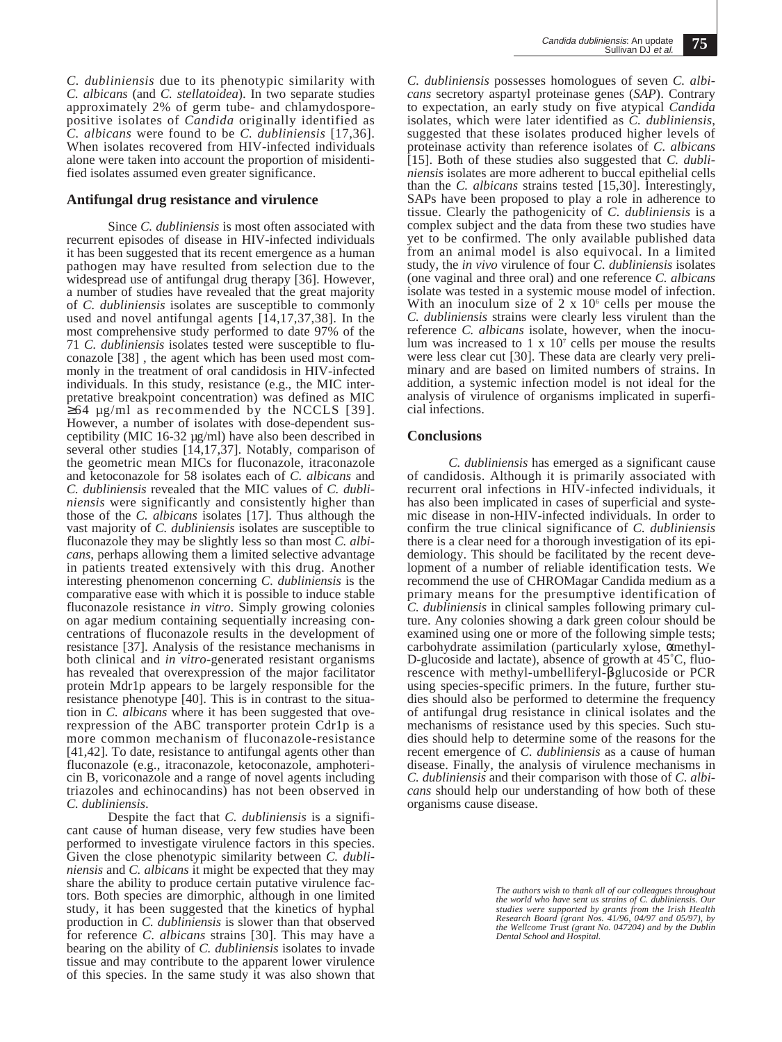*C. dubliniensis* due to its phenotypic similarity with *C. albicans* (and *C. stellatoidea*). In two separate studies approximately 2% of germ tube- and chlamydosporepositive isolates of *Candida* originally identified as *C. albicans* were found to be *C. dubliniensis* [17,36]. When isolates recovered from HIV-infected individuals alone were taken into account the proportion of misidentified isolates assumed even greater significance.

### **Antifungal drug resistance and virulence**

Since *C. dubliniensis* is most often associated with recurrent episodes of disease in HIV-infected individuals it has been suggested that its recent emergence as a human pathogen may have resulted from selection due to the widespread use of antifungal drug therapy [36]. However, a number of studies have revealed that the great majority of *C. dubliniensis* isolates are susceptible to commonly used and novel antifungal agents  $[14,17,37,38]$ . In the most comprehensive study performed to date 97% of the 71 *C. dubliniensis* isolates tested were susceptible to fluconazole [38] , the agent which has been used most commonly in the treatment of oral candidosis in HIV-infected individuals. In this study, resistance (e.g., the MIC interpretative breakpoint concentration) was defined as MIC  $\geq 64$  µg/ml as recommended by the NCCLS [39]. However, a number of isolates with dose-dependent susceptibility (MIC 16-32 µg/ml) have also been described in several other studies  $[14,17,37]$ . Notably, comparison of the geometric mean MICs for fluconazole, itraconazole and ketoconazole for 58 isolates each of *C. albicans* and *C. dubliniensis* revealed that the MIC values of *C. dubliniensis* were significantly and consistently higher than those of the *C. albicans* isolates [17]. Thus although the vast majority of *C. dubliniensis* isolates are susceptible to fluconazole they may be slightly less so than most *C. albicans*, perhaps allowing them a limited selective advantage in patients treated extensively with this drug. Another interesting phenomenon concerning *C. dubliniensis* is the comparative ease with which it is possible to induce stable fluconazole resistance *in vitro*. Simply growing colonies on agar medium containing sequentially increasing concentrations of fluconazole results in the development of resistance [37]. Analysis of the resistance mechanisms in both clinical and *in vitro*-generated resistant organisms has revealed that overexpression of the major facilitator protein Mdr1p appears to be largely responsible for the resistance phenotype [40]. This is in contrast to the situation in *C. albicans* where it has been suggested that overexpression of the ABC transporter protein Cdr1p is a more common mechanism of fluconazole-resistance [41,42]. To date, resistance to antifungal agents other than fluconazole (e.g., itraconazole, ketoconazole, amphotericin B, voriconazole and a range of novel agents including triazoles and echinocandins) has not been observed in *C. dubliniensis*.

Despite the fact that *C. dubliniensis* is a significant cause of human disease, very few studies have been performed to investigate virulence factors in this species. Given the close phenotypic similarity between *C. dubliniensis* and *C. albicans* it might be expected that they may share the ability to produce certain putative virulence factors. Both species are dimorphic, although in one limited study, it has been suggested that the kinetics of hyphal production in *C. dubliniensis* is slower than that observed for reference *C. albicans* strains [30]. This may have a bearing on the ability of *C. dubliniensis* isolates to invade tissue and may contribute to the apparent lower virulence of this species. In the same study it was also shown that *C. dubliniensis* possesses homologues of seven *C. albicans* secretory aspartyl proteinase genes (*SAP*). Contrary to expectation, an early study on five atypical *Candida* isolates, which were later identified as *C. dubliniensis*, suggested that these isolates produced higher levels of proteinase activity than reference isolates of *C. albicans* [15]. Both of these studies also suggested that *C. dubliniensis* isolates are more adherent to buccal epithelial cells than the *C. albicans* strains tested [15,30]. Interestingly, SAPs have been proposed to play a role in adherence to tissue. Clearly the pathogenicity of *C. dubliniensis* is a complex subject and the data from these two studies have yet to be confirmed. The only available published data from an animal model is also equivocal. In a limited study, the *in vivo* virulence of four *C. dubliniensis* isolates (one vaginal and three oral) and one reference *C. albicans* isolate was tested in a systemic mouse model of infection. With an inoculum size of  $2 \times 10^6$  cells per mouse the *C. dubliniensis* strains were clearly less virulent than the reference *C. albicans* isolate, however, when the inoculum was increased to  $1 \times 10^7$  cells per mouse the results were less clear cut [30]. These data are clearly very preliminary and are based on limited numbers of strains. In addition, a systemic infection model is not ideal for the analysis of virulence of organisms implicated in superficial infections.

# **Conclusions**

*C. dubliniensis* has emerged as a significant cause of candidosis. Although it is primarily associated with recurrent oral infections in HIV-infected individuals, it has also been implicated in cases of superficial and systemic disease in non-HIV-infected individuals. In order to confirm the true clinical significance of *C. dubliniensis* there is a clear need for a thorough investigation of its epidemiology. This should be facilitated by the recent development of a number of reliable identification tests. We recommend the use of CHROMagar Candida medium as a primary means for the presumptive identification of *C. dubliniensis* in clinical samples following primary culture. Any colonies showing a dark green colour should be examined using one or more of the following simple tests; carbohydrate assimilation (particularly xylose, αmethyl-D-glucoside and lactate), absence of growth at 45˚C, fluorescence with methyl-umbelliferyl-βglucoside or PCR using species-specific primers. In the future, further studies should also be performed to determine the frequency of antifungal drug resistance in clinical isolates and the mechanisms of resistance used by this species. Such studies should help to determine some of the reasons for the recent emergence of *C. dubliniensis* as a cause of human disease. Finally, the analysis of virulence mechanisms in *C. dubliniensis* and their comparison with those of *C. albicans* should help our understanding of how both of these organisms cause disease.

> *The authors wish to thank all of our colleagues throughout the world who have sent us strains of C. dubliniensis. Our studies were supported by grants from the Irish Health Research Board (grant Nos. 41/96, 04/97 and 05/97), by the Wellcome Trust (grant No. 047204) and by the Dublin Dental School and Hospital.*